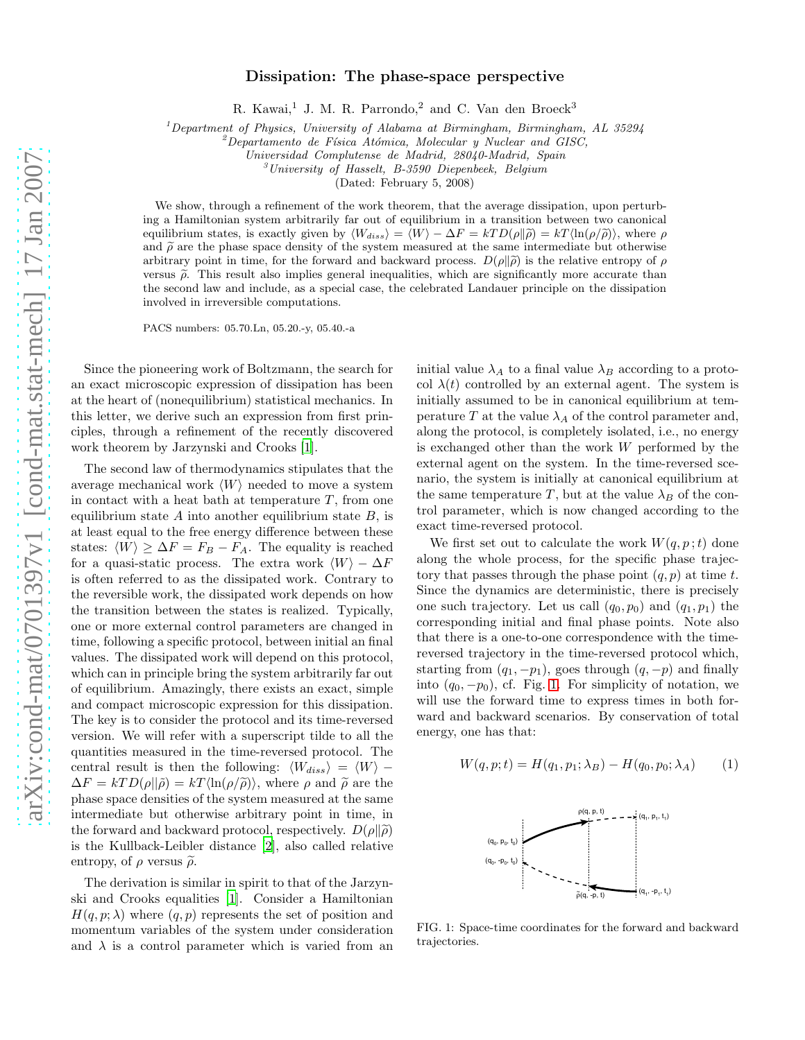## Dissipation: The phase-space perspective

R. Kawai,<sup>1</sup> J. M. R. Parrondo,<sup>2</sup> and C. Van den Broeck<sup>3</sup>

<sup>1</sup>*Department of Physics, University of Alabama at Birmingham, Birmingham, AL 35294*

<sup>2</sup>*Departamento de F´ısica At´omica, Molecular y Nuclear and GISC,*

*Universidad Complutense de Madrid, 28040-Madrid, Spain*

<sup>3</sup>*University of Hasselt, B-3590 Diepenbeek, Belgium*

(Dated: February 5, 2008)

We show, through a refinement of the work theorem, that the average dissipation, upon perturbing a Hamiltonian system arbitrarily far out of equilibrium in a transition between two canonical equilibrium states, is exactly given by  $\langle W_{diss} \rangle = \langle W \rangle - \Delta F = kTD(\rho||\tilde{\rho}) = kT\langle \ln(\rho/\tilde{\rho}) \rangle$ , where  $\rho$ and  $\tilde{\rho}$  are the phase space density of the system measured at the same intermediate but otherwise arbitrary point in time, for the forward and backward process.  $D(\rho||\tilde{\rho})$  is the relative entropy of  $\rho$ versus  $\tilde{\rho}$ . This result also implies general inequalities, which are significantly more accurate than the second law and include, as a special case, the celebrated Landauer principle on the dissipation involved in irreversible computations.

PACS numbers: 05.70.Ln, 05.20.-y, 05.40.-a

Since the pioneering work of Boltzmann, the search for an exact microscopic expression of dissipation has been at the heart of (nonequilibrium) statistical mechanics. In this letter, we derive such an expression from first principles, through a refinement of the recently discovered work theorem by Jarzynski and Crooks [\[1\]](#page-3-0).

The second law of thermodynamics stipulates that the average mechanical work  $\langle W \rangle$  needed to move a system in contact with a heat bath at temperature  $T$ , from one equilibrium state A into another equilibrium state  $B$ , is at least equal to the free energy difference between these states:  $\langle W \rangle \geq \Delta F = F_B - F_A$ . The equality is reached for a quasi-static process. The extra work  $\langle W \rangle - \Delta F$ is often referred to as the dissipated work. Contrary to the reversible work, the dissipated work depends on how the transition between the states is realized. Typically, one or more external control parameters are changed in time, following a specific protocol, between initial an final values. The dissipated work will depend on this protocol, which can in principle bring the system arbitrarily far out of equilibrium. Amazingly, there exists an exact, simple and compact microscopic expression for this dissipation. The key is to consider the protocol and its time-reversed version. We will refer with a superscript tilde to all the quantities measured in the time-reversed protocol. The central result is then the following:  $\langle W_{diss} \rangle = \langle W \rangle$  −  $\Delta F = kT D(\rho||\tilde{\rho}) = kT \langle \ln(\rho/\tilde{\rho}) \rangle$ , where  $\rho$  and  $\tilde{\rho}$  are the phase space densities of the system measured at the same intermediate but otherwise arbitrary point in time, in the forward and backward protocol, respectively.  $D(\rho||\tilde{\rho})$ is the Kullback-Leibler distance [\[2\]](#page-3-1), also called relative entropy, of  $\rho$  versus  $\tilde{\rho}$ .

The derivation is similar in spirit to that of the Jarzynski and Crooks equalities [\[1](#page-3-0)]. Consider a Hamiltonian  $H(q, p; \lambda)$  where  $(q, p)$  represents the set of position and momentum variables of the system under consideration and  $\lambda$  is a control parameter which is varied from an

initial value  $\lambda_A$  to a final value  $\lambda_B$  according to a protocol  $\lambda(t)$  controlled by an external agent. The system is initially assumed to be in canonical equilibrium at temperature T at the value  $\lambda_A$  of the control parameter and, along the protocol, is completely isolated, i.e., no energy is exchanged other than the work  $W$  performed by the external agent on the system. In the time-reversed scenario, the system is initially at canonical equilibrium at the same temperature T, but at the value  $\lambda_B$  of the control parameter, which is now changed according to the exact time-reversed protocol.

We first set out to calculate the work  $W(q, p; t)$  done along the whole process, for the specific phase trajectory that passes through the phase point  $(q, p)$  at time t. Since the dynamics are deterministic, there is precisely one such trajectory. Let us call  $(q_0, p_0)$  and  $(q_1, p_1)$  the corresponding initial and final phase points. Note also that there is a one-to-one correspondence with the timereversed trajectory in the time-reversed protocol which, starting from  $(q_1, -p_1)$ , goes through  $(q, -p)$  and finally into  $(q_0, -p_0)$ , cf. Fig. [1.](#page-0-0) For simplicity of notation, we will use the forward time to express times in both forward and backward scenarios. By conservation of total energy, one has that:

$$
W(q, p; t) = H(q_1, p_1; \lambda_B) - H(q_0, p_0; \lambda_A)
$$
 (1)



<span id="page-0-0"></span>FIG. 1: Space-time coordinates for the forward and backward trajectories.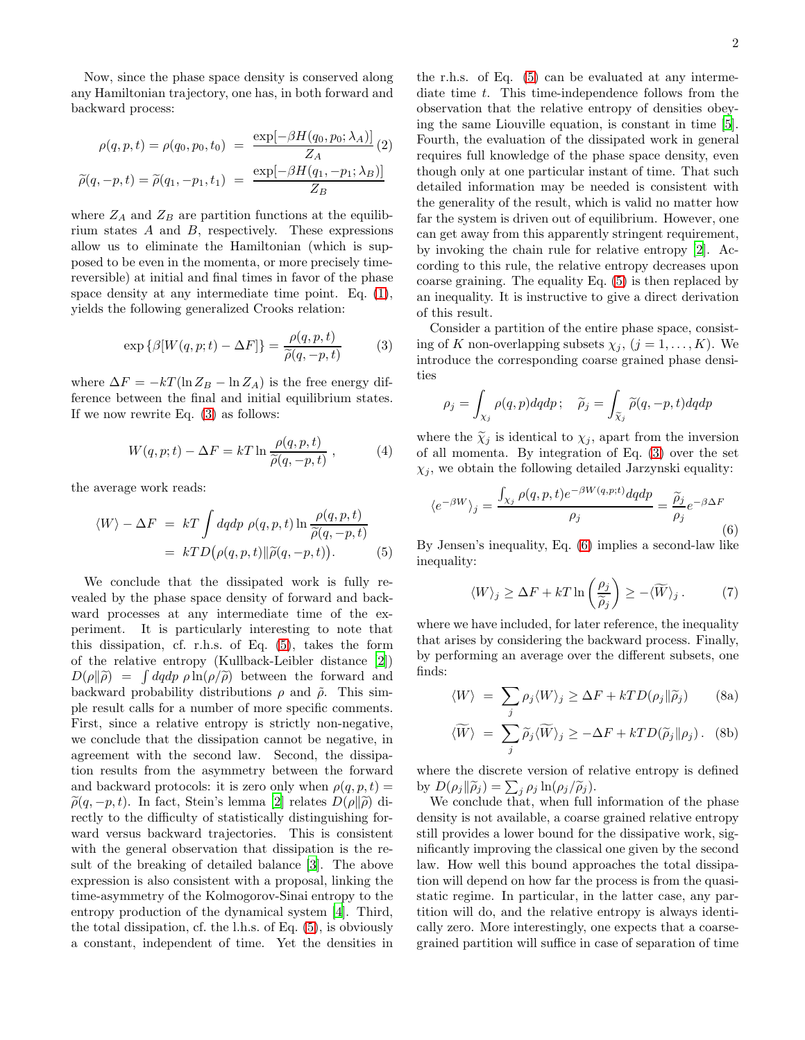Now, since the phase space density is conserved along any Hamiltonian trajectory, one has, in both forward and backward process:

$$
\rho(q, p, t) = \rho(q_0, p_0, t_0) = \frac{\exp[-\beta H(q_0, p_0; \lambda_A)]}{Z_A}(2)
$$

$$
\widetilde{\rho}(q, -p, t) = \widetilde{\rho}(q_1, -p_1, t_1) = \frac{\exp[-\beta H(q_1, -p_1; \lambda_B)]}{Z_B}
$$

where  $Z_A$  and  $Z_B$  are partition functions at the equilibrium states  $A$  and  $B$ , respectively. These expressions allow us to eliminate the Hamiltonian (which is supposed to be even in the momenta, or more precisely timereversible) at initial and final times in favor of the phase space density at any intermediate time point. Eq. [\(1\)](#page-1-0), yields the following generalized Crooks relation:

<span id="page-1-1"></span>
$$
\exp\{\beta[W(q,p;t) - \Delta F]\} = \frac{\rho(q,p,t)}{\widetilde{\rho}(q,-p,t)}\tag{3}
$$

where  $\Delta F = -kT(\ln Z_B - \ln Z_A)$  is the free energy difference between the final and initial equilibrium states. If we now rewrite Eq. [\(3\)](#page-1-1) as follows:

$$
W(q, p; t) - \Delta F = kT \ln \frac{\rho(q, p, t)}{\tilde{\rho}(q, -p, t)}, \qquad (4)
$$

the average work reads:

<span id="page-1-2"></span>
$$
\langle W \rangle - \Delta F = kT \int dq dp \, \rho(q, p, t) \ln \frac{\rho(q, p, t)}{\tilde{\rho}(q, -p, t)}
$$
  
= 
$$
kT D(\rho(q, p, t) || \tilde{\rho}(q, -p, t)).
$$
 (5)

We conclude that the dissipated work is fully revealed by the phase space density of forward and backward processes at any intermediate time of the experiment. It is particularly interesting to note that this dissipation, cf. r.h.s. of Eq. [\(5\)](#page-1-2), takes the form of the relative entropy (Kullback-Leibler distance [\[2](#page-3-1)])  $D(\rho||\tilde{\rho}) = \int dqdp \rho \ln(\rho/\tilde{\rho})$  between the forward and backward probability distributions  $\rho$  and  $\tilde{\rho}$ . This simple result calls for a number of more specific comments. First, since a relative entropy is strictly non-negative, we conclude that the dissipation cannot be negative, in agreement with the second law. Second, the dissipation results from the asymmetry between the forward and backward protocols: it is zero only when  $\rho(q, p, t) =$  $\tilde{\rho}(q, -p, t)$ . In fact, Stein's lemma [\[2\]](#page-3-1) relates  $D(\rho||\tilde{\rho})$  directly to the difficulty of statistically distinguishing forward versus backward trajectories. This is consistent with the general observation that dissipation is the result of the breaking of detailed balance [\[3\]](#page-3-2). The above expression is also consistent with a proposal, linking the time-asymmetry of the Kolmogorov-Sinai entropy to the entropy production of the dynamical system [\[4](#page-3-3)]. Third, the total dissipation, cf. the l.h.s. of Eq. [\(5\)](#page-1-2), is obviously a constant, independent of time. Yet the densities in the r.h.s. of Eq. [\(5\)](#page-1-2) can be evaluated at any intermediate time  $t$ . This time-independence follows from the observation that the relative entropy of densities obeying the same Liouville equation, is constant in time [\[5\]](#page-3-4). Fourth, the evaluation of the dissipated work in general requires full knowledge of the phase space density, even though only at one particular instant of time. That such detailed information may be needed is consistent with the generality of the result, which is valid no matter how far the system is driven out of equilibrium. However, one can get away from this apparently stringent requirement, by invoking the chain rule for relative entropy [\[2\]](#page-3-1). According to this rule, the relative entropy decreases upon coarse graining. The equality Eq. [\(5\)](#page-1-2) is then replaced by an inequality. It is instructive to give a direct derivation of this result.

Consider a partition of the entire phase space, consisting of K non-overlapping subsets  $\chi_j$ ,  $(j = 1, ..., K)$ . We introduce the corresponding coarse grained phase densities

$$
\rho_j = \int_{\chi_j} \rho(q, p) dq dp \, ; \quad \widetilde{\rho}_j = \int_{\widetilde{\chi}_j} \widetilde{\rho}(q, -p, t) dq dp
$$

where the  $\tilde{\chi}_j$  is identical to  $\chi_j$ , apart from the inversion of all momenta. By integration of Eq. [\(3\)](#page-1-1) over the set  $\chi_i$ , we obtain the following detailed Jarzynski equality:

<span id="page-1-3"></span>
$$
\langle e^{-\beta W} \rangle_j = \frac{\int_{\chi_j} \rho(q, p, t) e^{-\beta W(q, p; t)} dq dp}{\rho_j} = \frac{\tilde{\rho}_j}{\rho_j} e^{-\beta \Delta F}
$$
\n(6)

By Jensen's inequality, Eq. [\(6\)](#page-1-3) implies a second-law like inequality:

<span id="page-1-4"></span>
$$
\langle W \rangle_j \ge \Delta F + kT \ln \left( \frac{\rho_j}{\widetilde{\rho}_j} \right) \ge - \langle \widetilde{W} \rangle_j. \tag{7}
$$

where we have included, for later reference, the inequality that arises by considering the backward process. Finally, by performing an average over the different subsets, one finds:

<span id="page-1-5"></span><span id="page-1-0"></span>
$$
\langle W \rangle = \sum_{j} \rho_j \langle W \rangle_j \ge \Delta F + k T D(\rho_j || \widetilde{\rho}_j)
$$
 (8a)

$$
\langle \widetilde{W} \rangle = \sum_{j} \widetilde{\rho}_{j} \langle \widetilde{W} \rangle_{j} \ge -\Delta F + kTD(\widetilde{\rho}_{j} || \rho_{j}). \quad \text{(8b)}
$$

where the discrete version of relative entropy is defined by  $D(\rho_j || \widetilde{\rho}_j) = \sum_j \rho_j \ln(\rho_j / \widetilde{\rho}_j).$ 

We conclude that, when full information of the phase density is not available, a coarse grained relative entropy still provides a lower bound for the dissipative work, significantly improving the classical one given by the second law. How well this bound approaches the total dissipation will depend on how far the process is from the quasistatic regime. In particular, in the latter case, any partition will do, and the relative entropy is always identically zero. More interestingly, one expects that a coarsegrained partition will suffice in case of separation of time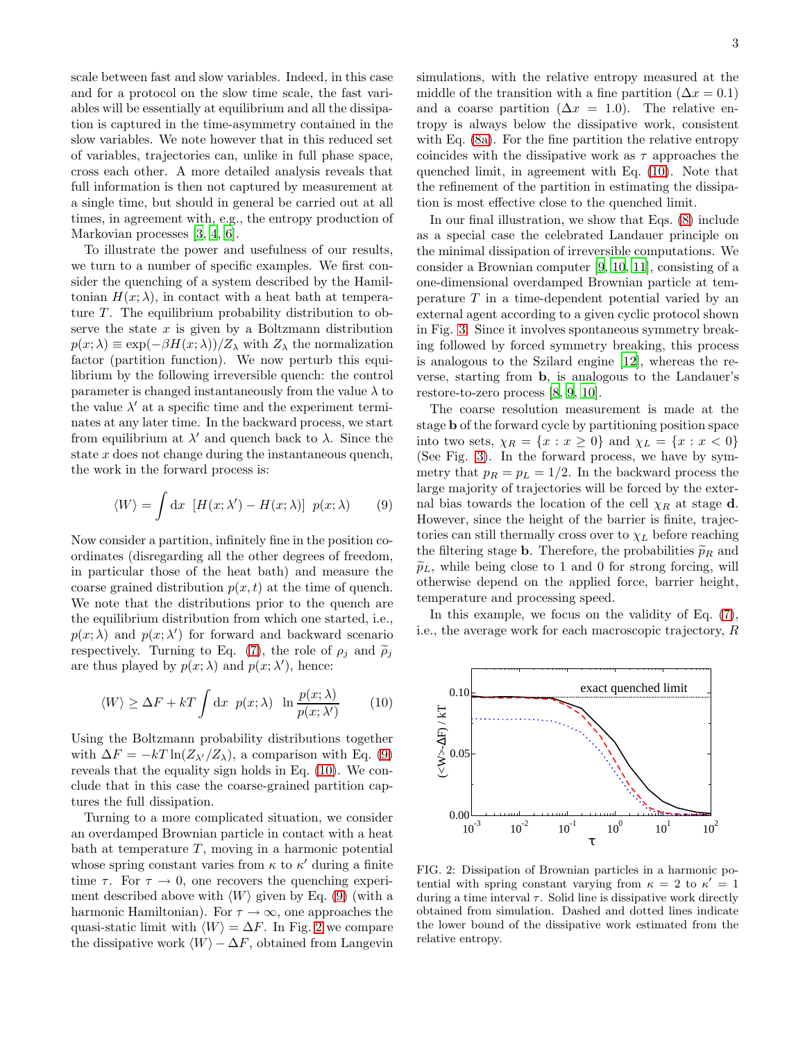scale between fast and slow variables. Indeed, in this case and for a protocol on the slow time scale, the fast variables will be essentially at equilibrium and all the dissipation is captured in the time-asymmetry contained in the slow variables. We note however that in this reduced set of variables, trajectories can, unlike in full phase space, cross each other. A more detailed analysis reveals that full information is then not captured by measurement at a single time, but should in general be carried out at all times, in agreement with, e.g., the entropy production of Markovian processes [\[3](#page-3-2), [4](#page-3-3), [6\]](#page-3-5).

To illustrate the power and usefulness of our results, we turn to a number of specific examples. We first consider the quenching of a system described by the Hamiltonian  $H(x; \lambda)$ , in contact with a heat bath at temperature  $T$ . The equilibrium probability distribution to observe the state  $x$  is given by a Boltzmann distribution  $p(x; \lambda) \equiv \exp(-\beta H(x; \lambda))/Z_{\lambda}$  with  $Z_{\lambda}$  the normalization factor (partition function). We now perturb this equilibrium by the following irreversible quench: the control parameter is changed instantaneously from the value  $\lambda$  to the value  $\lambda'$  at a specific time and the experiment terminates at any later time. In the backward process, we start from equilibrium at  $\lambda'$  and quench back to  $\lambda$ . Since the state  $x$  does not change during the instantaneous quench, the work in the forward process is:

<span id="page-2-0"></span>
$$
\langle W \rangle = \int \mathrm{d}x \, \left[ H(x; \lambda') - H(x; \lambda) \right] \, p(x; \lambda) \tag{9}
$$

Now consider a partition, infinitely fine in the position coordinates (disregarding all the other degrees of freedom, in particular those of the heat bath) and measure the coarse grained distribution  $p(x, t)$  at the time of quench. We note that the distributions prior to the quench are the equilibrium distribution from which one started, i.e.,  $p(x; \lambda)$  and  $p(x; \lambda')$  for forward and backward scenario respectively. Turning to Eq. [\(7\)](#page-1-4), the role of  $\rho_i$  and  $\tilde{\rho}_i$ are thus played by  $p(x; \lambda)$  and  $p(x; \lambda')$ , hence:

<span id="page-2-1"></span>
$$
\langle W \rangle \ge \Delta F + kT \int \mathrm{d}x \ p(x; \lambda) \ \ln \frac{p(x; \lambda)}{p(x; \lambda')} \tag{10}
$$

Using the Boltzmann probability distributions together with  $\Delta F = -kT \ln(Z_{\lambda'}/Z_{\lambda})$ , a comparison with Eq. [\(9\)](#page-2-0) reveals that the equality sign holds in Eq. [\(10\)](#page-2-1). We conclude that in this case the coarse-grained partition captures the full dissipation.

Turning to a more complicated situation, we consider an overdamped Brownian particle in contact with a heat bath at temperature  $T$ , moving in a harmonic potential whose spring constant varies from  $\kappa$  to  $\kappa'$  during a finite time  $\tau$ . For  $\tau \to 0$ , one recovers the quenching experiment described above with  $\langle W \rangle$  given by Eq. [\(9\)](#page-2-0) (with a harmonic Hamiltonian). For  $\tau \to \infty$ , one approaches the quasi-static limit with  $\langle W \rangle = \Delta F$ . In Fig. [2](#page-2-2) we compare the dissipative work  $\langle W \rangle - \Delta F$ , obtained from Langevin

simulations, with the relative entropy measured at the middle of the transition with a fine partition ( $\Delta x = 0.1$ ) and a coarse partition ( $\Delta x = 1.0$ ). The relative entropy is always below the dissipative work, consistent with Eq. [\(8a\)](#page-1-0). For the fine partition the relative entropy coincides with the dissipative work as  $\tau$  approaches the quenched limit, in agreement with Eq. [\(10\)](#page-2-1). Note that the refinement of the partition in estimating the dissipation is most effective close to the quenched limit.

In our final illustration, we show that Eqs. [\(8\)](#page-1-5) include as a special case the celebrated Landauer principle on the minimal dissipation of irreversible computations. We consider a Brownian computer [\[9](#page-3-6), [10,](#page-3-7) [11\]](#page-3-8), consisting of a one-dimensional overdamped Brownian particle at temperature  $T$  in a time-dependent potential varied by an external agent according to a given cyclic protocol shown in Fig. [3.](#page-3-9) Since it involves spontaneous symmetry breaking followed by forced symmetry breaking, this process is analogous to the Szilard engine [\[12](#page-3-10)], whereas the reverse, starting from b, is analogous to the Landauer's restore-to-zero process [\[8,](#page-3-11) [9,](#page-3-6) [10\]](#page-3-7).

The coarse resolution measurement is made at the stage b of the forward cycle by partitioning position space into two sets,  $\chi_R = \{x : x \geq 0\}$  and  $\chi_L = \{x : x < 0\}$ (See Fig. [3\)](#page-3-9). In the forward process, we have by symmetry that  $p_R = p_L = 1/2$ . In the backward process the large majority of trajectories will be forced by the external bias towards the location of the cell  $\chi_R$  at stage d. However, since the height of the barrier is finite, trajectories can still thermally cross over to  $\chi_L$  before reaching the filtering stage **b**. Therefore, the probabilities  $\tilde{p}_R$  and  $\widetilde{p}_L$ , while being close to 1 and 0 for strong forcing, will otherwise depend on the applied force, barrier height, temperature and processing speed.

In this example, we focus on the validity of Eq. [\(7\)](#page-1-4), i.e., the average work for each macroscopic trajectory, R



<span id="page-2-2"></span>FIG. 2: Dissipation of Brownian particles in a harmonic potential with spring constant varying from  $\kappa = 2$  to  $\kappa' = 1$ during a time interval  $\tau$ . Solid line is dissipative work directly obtained from simulation. Dashed and dotted lines indicate the lower bound of the dissipative work estimated from the relative entropy.